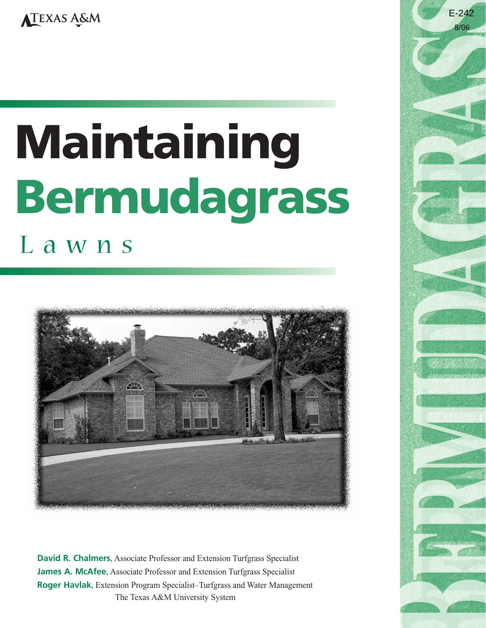# **Maintaining Bermudagrass**

L a w n s



**David R. Chalmers**, Associate Professor and Extension Turfgrass Specialist **James A. McAfee**, Associate Professor and Extension Turfgrass Specialist **Roger Havlak**, Extension Program Specialist–Turfgrass and Water Management The Texas A&M University System

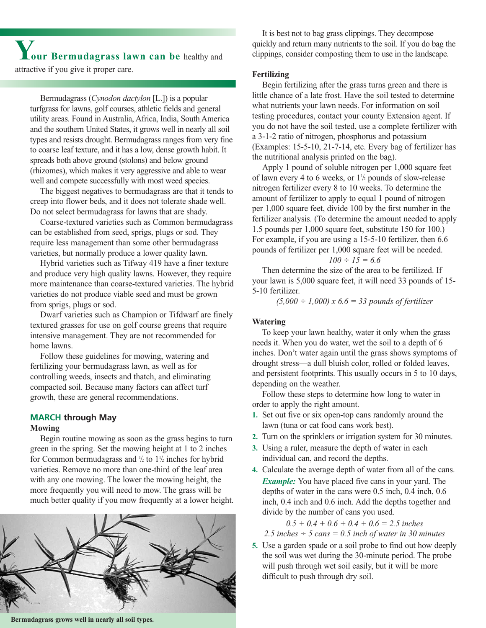**Your Bermudagrass lawn can be** healthy and attractive if you give it proper care.

Bermudagrass (*Cynodon dactylon* [L.]) is a popular turfgrass for lawns, golf courses, athletic fields and general utility areas. Found in Australia, Africa, India, South America and the southern United States, it grows well in nearly all soil types and resists drought. Bermudagrass ranges from very fine to coarse leaf texture, and it has a low, dense growth habit. It spreads both above ground (stolons) and below ground (rhizomes), which makes it very aggressive and able to wear well and compete successfully with most weed species.

The biggest negatives to bermudagrass are that it tends to creep into flower beds, and it does not tolerate shade well. Do not select bermudagrass for lawns that are shady.

Coarse-textured varieties such as Common bermudagrass can be established from seed, sprigs, plugs or sod. They require less management than some other bermudagrass varieties, but normally produce a lower quality lawn.

Hybrid varieties such as Tifway 419 have a finer texture and produce very high quality lawns. However, they require more maintenance than coarse-textured varieties. The hybrid varieties do not produce viable seed and must be grown from sprigs, plugs or sod.

Dwarf varieties such as Champion or Tifdwarf are finely textured grasses for use on golf course greens that require intensive management. They are not recommended for home lawns.

Follow these guidelines for mowing, watering and fertilizing your bermudagrass lawn, as well as for controlling weeds, insects and thatch, and eliminating compacted soil. Because many factors can affect turf growth, these are general recommendations.

# **MARCH through May**

#### **Mowing**

Begin routine mowing as soon as the grass begins to turn green in the spring. Set the mowing height at 1 to 2 inches for Common bermudagrass and  $\frac{1}{2}$  to  $1\frac{1}{2}$  inches for hybrid varieties. Remove no more than one-third of the leaf area with any one mowing. The lower the mowing height, the more frequently you will need to mow. The grass will be much better quality if you mow frequently at a lower height.



It is best not to bag grass clippings. They decompose quickly and return many nutrients to the soil. If you do bag the clippings, consider composting them to use in the landscape.

#### **Fertilizing**

Begin fertilizing after the grass turns green and there is little chance of a late frost. Have the soil tested to determine what nutrients your lawn needs. For information on soil testing procedures, contact your county Extension agent. If you do not have the soil tested, use a complete fertilizer with a 3-1-2 ratio of nitrogen, phosphorus and potassium (Examples: 15-5-10, 21-7-14, etc. Every bag of fertilizer has the nutritional analysis printed on the bag).

Apply 1 pound of soluble nitrogen per 1,000 square feet of lawn every 4 to 6 weeks, or  $1\frac{1}{2}$  pounds of slow-release nitrogen fertilizer every 8 to 10 weeks. To determine the amount of fertilizer to apply to equal 1 pound of nitrogen per 1,000 square feet, divide 100 by the first number in the fertilizer analysis. (To determine the amount needed to apply 1.5 pounds per 1,000 square feet, substitute 150 for 100.) For example, if you are using a 15-5-10 fertilizer, then 6.6 pounds of fertilizer per 1,000 square feet will be needed.

$$
100 \div 15 = 6.6
$$

Then determine the size of the area to be fertilized. If your lawn is 5,000 square feet, it will need 33 pounds of 15- 5-10 fertilizer.

*(5,000 ÷ 1,000) x 6.6 = 33 pounds of fertilizer*

## **Watering**

To keep your lawn healthy, water it only when the grass needs it. When you do water, wet the soil to a depth of 6 inches. Don't water again until the grass shows symptoms of drought stress—a dull bluish color, rolled or folded leaves, and persistent footprints. This usually occurs in 5 to 10 days, depending on the weather.

Follow these steps to determine how long to water in order to apply the right amount.

- **1.** Set out five or six open-top cans randomly around the lawn (tuna or cat food cans work best).
- **2.** Turn on the sprinklers or irrigation system for 30 minutes.
- **3.** Using a ruler, measure the depth of water in each individual can, and record the depths.
- **4.** Calculate the average depth of water from all of the cans. *Example:* You have placed five cans in your yard. The depths of water in the cans were 0.5 inch, 0.4 inch, 0.6 inch, 0.4 inch and 0.6 inch. Add the depths together and divide by the number of cans you used.

$$
0.5 + 0.4 + 0.6 + 0.4 + 0.6 = 2.5 inches
$$

*2.5 inches ÷ 5 cans = 0.5 inch of water in 30 minutes*

**5.** Use a garden spade or a soil probe to find out how deeply the soil was wet during the 30-minute period. The probe will push through wet soil easily, but it will be more difficult to push through dry soil.

**Bermudagrass grows well in nearly all soil types.**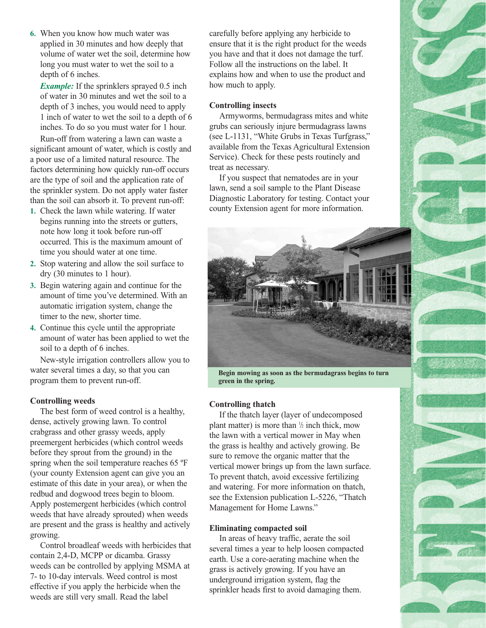**6.** When you know how much water was applied in 30 minutes and how deeply that volume of water wet the soil, determine how long you must water to wet the soil to a depth of 6 inches.

*Example:* If the sprinklers sprayed 0.5 inch of water in 30 minutes and wet the soil to a depth of 3 inches, you would need to apply 1 inch of water to wet the soil to a depth of 6 inches. To do so you must water for 1 hour.

Run-off from watering a lawn can waste a significant amount of water, which is costly and a poor use of a limited natural resource. The factors determining how quickly run-off occurs are the type of soil and the application rate of the sprinkler system. Do not apply water faster than the soil can absorb it. To prevent run-off:

- **1.** Check the lawn while watering. If water begins running into the streets or gutters, note how long it took before run-off occurred. This is the maximum amount of time you should water at one time.
- **2.** Stop watering and allow the soil surface to dry (30 minutes to 1 hour).
- **3.** Begin watering again and continue for the amount of time you've determined. With an automatic irrigation system, change the timer to the new, shorter time.
- **4.** Continue this cycle until the appropriate amount of water has been applied to wet the soil to a depth of 6 inches.

New-style irrigation controllers allow you to water several times a day, so that you can program them to prevent run-off.

#### **Controlling weeds**

The best form of weed control is a healthy, dense, actively growing lawn. To control crabgrass and other grassy weeds, apply preemergent herbicides (which control weeds before they sprout from the ground) in the spring when the soil temperature reaches 65 ºF (your county Extension agent can give you an estimate of this date in your area), or when the redbud and dogwood trees begin to bloom. Apply postemergent herbicides (which control weeds that have already sprouted) when weeds are present and the grass is healthy and actively growing.

Control broadleaf weeds with herbicides that contain 2,4-D, MCPP or dicamba. Grassy weeds can be controlled by applying MSMA at 7- to 10-day intervals. Weed control is most effective if you apply the herbicide when the weeds are still very small. Read the label

carefully before applying any herbicide to ensure that it is the right product for the weeds you have and that it does not damage the turf. Follow all the instructions on the label. It explains how and when to use the product and how much to apply.

#### **Controlling insects**

Armyworms, bermudagrass mites and white grubs can seriously injure bermudagrass lawns (see L-1131, "White Grubs in Texas Turfgrass," available from the Texas Agricultural Extension Service). Check for these pests routinely and treat as necessary.

If you suspect that nematodes are in your lawn, send a soil sample to the Plant Disease Diagnostic Laboratory for testing. Contact your county Extension agent for more information.



**Begin mowing as soon as the bermudagrass begins to turn green in the spring.**

#### **Controlling thatch**

If the thatch layer (layer of undecomposed plant matter) is more than  $\frac{1}{2}$  inch thick, mow the lawn with a vertical mower in May when the grass is healthy and actively growing. Be sure to remove the organic matter that the vertical mower brings up from the lawn surface. To prevent thatch, avoid excessive fertilizing and watering. For more information on thatch, see the Extension publication L-5226, "Thatch Management for Home Lawns."

#### **Eliminating compacted soil**

In areas of heavy traffic, aerate the soil several times a year to help loosen compacted earth. Use a core-aerating machine when the grass is actively growing. If you have an underground irrigation system, flag the sprinkler heads first to avoid damaging them.